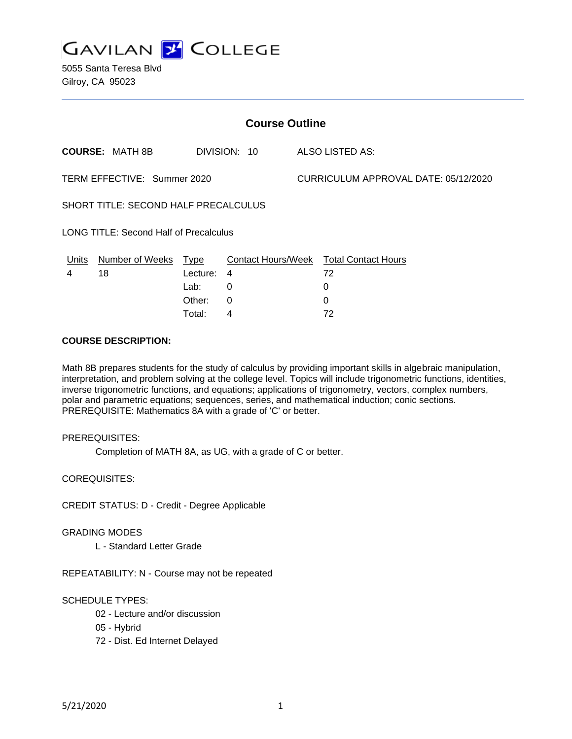

| <b>Course Outline</b>                         |                        |          |              |                                      |                                        |
|-----------------------------------------------|------------------------|----------|--------------|--------------------------------------|----------------------------------------|
|                                               | <b>COURSE: MATH 8B</b> |          | DIVISION: 10 |                                      | ALSO LISTED AS:                        |
| TERM EFFECTIVE: Summer 2020                   |                        |          |              | CURRICULUM APPROVAL DATE: 05/12/2020 |                                        |
| SHORT TITLE: SECOND HALF PRECALCULUS          |                        |          |              |                                      |                                        |
| <b>LONG TITLE: Second Half of Precalculus</b> |                        |          |              |                                      |                                        |
| Units                                         | Number of Weeks Type   |          |              |                                      | Contact Hours/Week Total Contact Hours |
| 4                                             | 18                     | Lecture: | 4            |                                      | 72                                     |
|                                               |                        | Lab:     | 0            |                                      | 0                                      |
|                                               |                        | Other:   | $\Omega$     |                                      | 0                                      |
|                                               |                        | Total:   | 4            |                                      | 72                                     |

### **COURSE DESCRIPTION:**

Math 8B prepares students for the study of calculus by providing important skills in algebraic manipulation, interpretation, and problem solving at the college level. Topics will include trigonometric functions, identities, inverse trigonometric functions, and equations; applications of trigonometry, vectors, complex numbers, polar and parametric equations; sequences, series, and mathematical induction; conic sections. PREREQUISITE: Mathematics 8A with a grade of 'C' or better.

### PREREQUISITES:

Completion of MATH 8A, as UG, with a grade of C or better.

COREQUISITES:

CREDIT STATUS: D - Credit - Degree Applicable

#### GRADING MODES

L - Standard Letter Grade

REPEATABILITY: N - Course may not be repeated

## SCHEDULE TYPES:

- 02 Lecture and/or discussion
- 05 Hybrid
- 72 Dist. Ed Internet Delayed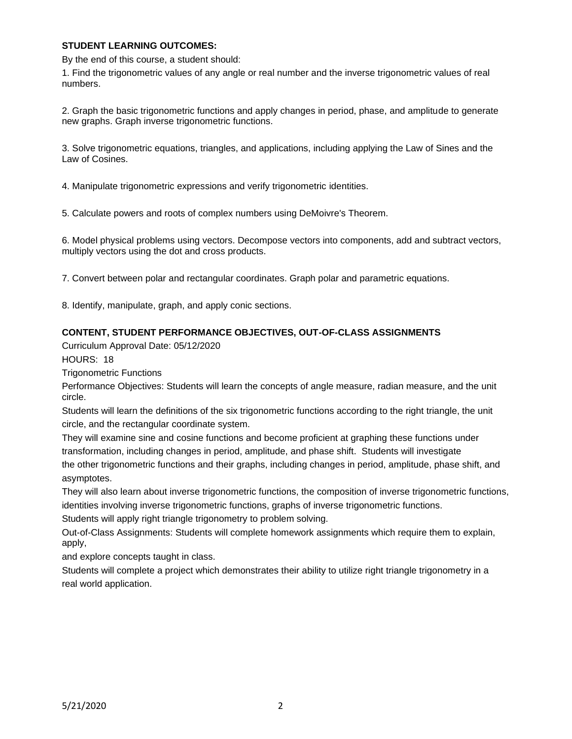## **STUDENT LEARNING OUTCOMES:**

By the end of this course, a student should:

1. Find the trigonometric values of any angle or real number and the inverse trigonometric values of real numbers.

2. Graph the basic trigonometric functions and apply changes in period, phase, and amplitude to generate new graphs. Graph inverse trigonometric functions.

3. Solve trigonometric equations, triangles, and applications, including applying the Law of Sines and the Law of Cosines.

4. Manipulate trigonometric expressions and verify trigonometric identities.

5. Calculate powers and roots of complex numbers using DeMoivre's Theorem.

6. Model physical problems using vectors. Decompose vectors into components, add and subtract vectors, multiply vectors using the dot and cross products.

7. Convert between polar and rectangular coordinates. Graph polar and parametric equations.

8. Identify, manipulate, graph, and apply conic sections.

### **CONTENT, STUDENT PERFORMANCE OBJECTIVES, OUT-OF-CLASS ASSIGNMENTS**

Curriculum Approval Date: 05/12/2020

HOURS: 18

Trigonometric Functions

Performance Objectives: Students will learn the concepts of angle measure, radian measure, and the unit circle.

Students will learn the definitions of the six trigonometric functions according to the right triangle, the unit circle, and the rectangular coordinate system.

They will examine sine and cosine functions and become proficient at graphing these functions under transformation, including changes in period, amplitude, and phase shift. Students will investigate the other trigonometric functions and their graphs, including changes in period, amplitude, phase shift, and asymptotes.

They will also learn about inverse trigonometric functions, the composition of inverse trigonometric functions, identities involving inverse trigonometric functions, graphs of inverse trigonometric functions.

Students will apply right triangle trigonometry to problem solving.

Out-of-Class Assignments: Students will complete homework assignments which require them to explain, apply,

and explore concepts taught in class.

Students will complete a project which demonstrates their ability to utilize right triangle trigonometry in a real world application.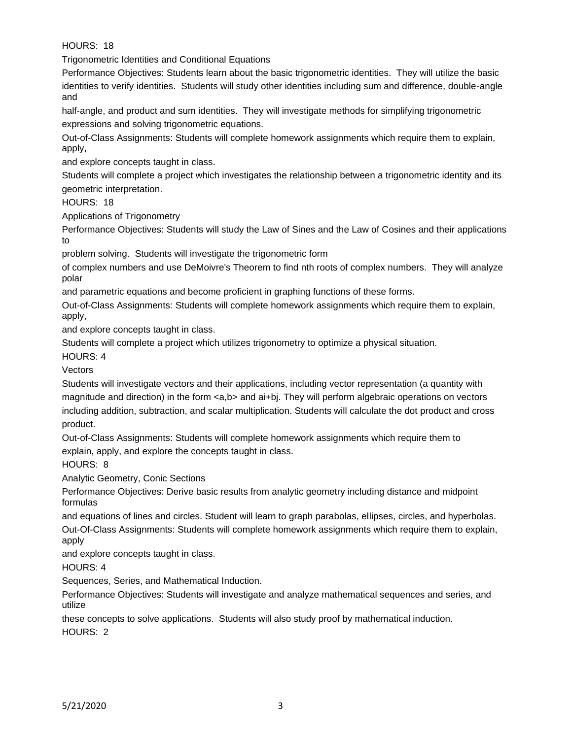HOURS: 18

Trigonometric Identities and Conditional Equations

Performance Objectives: Students learn about the basic trigonometric identities. They will utilize the basic identities to verify identities. Students will study other identities including sum and difference, double-angle and

half-angle, and product and sum identities. They will investigate methods for simplifying trigonometric expressions and solving trigonometric equations.

Out-of-Class Assignments: Students will complete homework assignments which require them to explain, apply,

and explore concepts taught in class.

Students will complete a project which investigates the relationship between a trigonometric identity and its geometric interpretation.

HOURS: 18

Applications of Trigonometry

Performance Objectives: Students will study the Law of Sines and the Law of Cosines and their applications to

problem solving. Students will investigate the trigonometric form

of complex numbers and use DeMoivre's Theorem to find nth roots of complex numbers. They will analyze polar

and parametric equations and become proficient in graphing functions of these forms.

Out-of-Class Assignments: Students will complete homework assignments which require them to explain, apply,

and explore concepts taught in class.

Students will complete a project which utilizes trigonometry to optimize a physical situation.

HOURS: 4

**Vectors** 

Students will investigate vectors and their applications, including vector representation (a quantity with magnitude and direction) in the form <a,b> and ai+bj. They will perform algebraic operations on vectors including addition, subtraction, and scalar multiplication. Students will calculate the dot product and cross product.

Out-of-Class Assignments: Students will complete homework assignments which require them to explain, apply, and explore the concepts taught in class.

HOURS: 8

Analytic Geometry, Conic Sections

Performance Objectives: Derive basic results from analytic geometry including distance and midpoint formulas

and equations of lines and circles. Student will learn to graph parabolas, ellipses, circles, and hyperbolas. Out-Of-Class Assignments: Students will complete homework assignments which require them to explain, apply

and explore concepts taught in class.

HOURS: 4

Sequences, Series, and Mathematical Induction.

Performance Objectives: Students will investigate and analyze mathematical sequences and series, and utilize

these concepts to solve applications. Students will also study proof by mathematical induction. HOURS: 2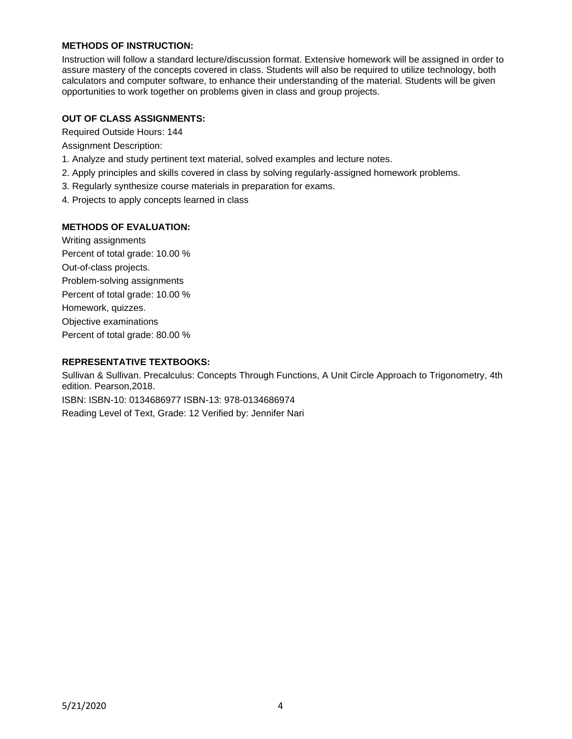# **METHODS OF INSTRUCTION:**

Instruction will follow a standard lecture/discussion format. Extensive homework will be assigned in order to assure mastery of the concepts covered in class. Students will also be required to utilize technology, both calculators and computer software, to enhance their understanding of the material. Students will be given opportunities to work together on problems given in class and group projects.

## **OUT OF CLASS ASSIGNMENTS:**

Required Outside Hours: 144

Assignment Description:

- 1. Analyze and study pertinent text material, solved examples and lecture notes.
- 2. Apply principles and skills covered in class by solving regularly-assigned homework problems.
- 3. Regularly synthesize course materials in preparation for exams.
- 4. Projects to apply concepts learned in class

### **METHODS OF EVALUATION:**

Writing assignments Percent of total grade: 10.00 % Out-of-class projects. Problem-solving assignments Percent of total grade: 10.00 % Homework, quizzes. Objective examinations Percent of total grade: 80.00 %

### **REPRESENTATIVE TEXTBOOKS:**

Sullivan & Sullivan. Precalculus: Concepts Through Functions, A Unit Circle Approach to Trigonometry, 4th edition. Pearson,2018. ISBN: ISBN-10: 0134686977 ISBN-13: 978-0134686974 Reading Level of Text, Grade: 12 Verified by: Jennifer Nari